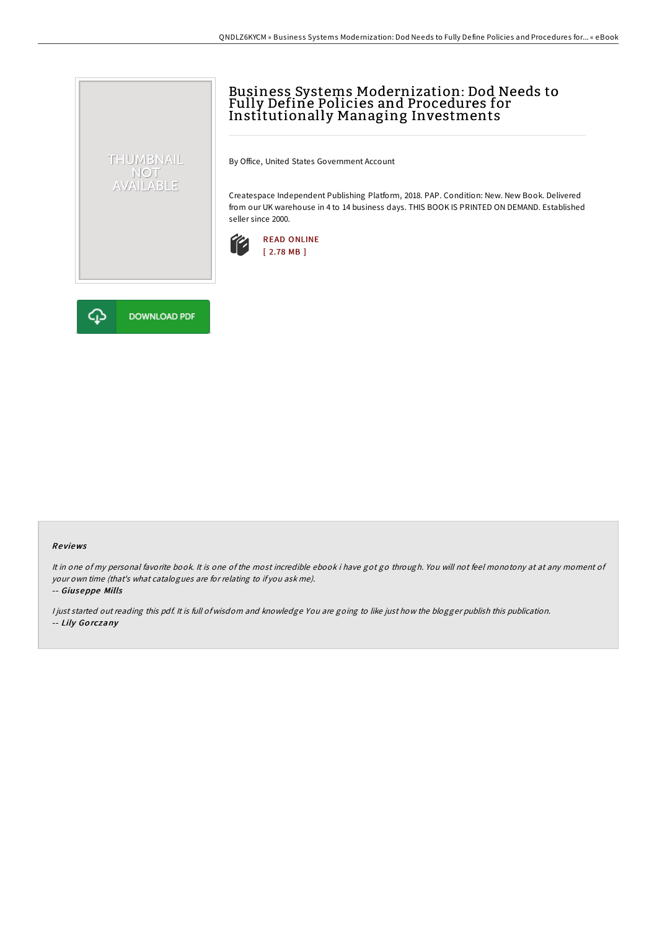## Business Systems Modernization: Dod Needs to Fully Define Policies and Procedures for Institutionally Managing Investments

By Office, United States Government Account

Createspace Independent Publishing Platform, 2018. PAP. Condition: New. New Book. Delivered from our UK warehouse in 4 to 14 business days. THIS BOOK IS PRINTED ON DEMAND. Established seller since 2000.





THUMBNAIL NOT<br>AVAILABLE

## Re views

It in one of my personal favorite book. It is one of the most incredible ebook i have got go through. You will not feel monotony at at any moment of your own time (that's what catalogues are for relating to if you ask me).

-- Giuseppe Mills

<sup>I</sup> just started out reading this pdf. It is full of wisdom and knowledge You are going to like just how the blogger publish this publication. -- Lily Go rczany